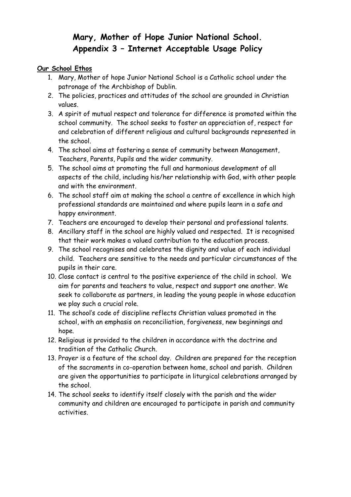# **Mary, Mother of Hope Junior National School. Appendix 3 – Internet Acceptable Usage Policy**

#### **Our School Ethos**

- 1. Mary, Mother of hope Junior National School is a Catholic school under the patronage of the Archbishop of Dublin.
- 2. The policies, practices and attitudes of the school are grounded in Christian values.
- 3. A spirit of mutual respect and tolerance for difference is promoted within the school community. The school seeks to foster an appreciation of, respect for and celebration of different religious and cultural backgrounds represented in the school.
- 4. The school aims at fostering a sense of community between Management, Teachers, Parents, Pupils and the wider community.
- 5. The school aims at promoting the full and harmonious development of all aspects of the child, including his/her relationship with God, with other people and with the environment.
- 6. The school staff aim at making the school a centre of excellence in which high professional standards are maintained and where pupils learn in a safe and happy environment.
- 7. Teachers are encouraged to develop their personal and professional talents.
- 8. Ancillary staff in the school are highly valued and respected. It is recognised that their work makes a valued contribution to the education process.
- 9. The school recognises and celebrates the dignity and value of each individual child. Teachers are sensitive to the needs and particular circumstances of the pupils in their care.
- 10. Close contact is central to the positive experience of the child in school. We aim for parents and teachers to value, respect and support one another. We seek to collaborate as partners, in leading the young people in whose education we play such a crucial role.
- 11. The school's code of discipline reflects Christian values promoted in the school, with an emphasis on reconciliation, forgiveness, new beginnings and hope.
- 12. Religious is provided to the children in accordance with the doctrine and tradition of the Catholic Church.
- 13. Prayer is a feature of the school day. Children are prepared for the reception of the sacraments in co-operation between home, school and parish. Children are given the opportunities to participate in liturgical celebrations arranged by the school.
- 14. The school seeks to identify itself closely with the parish and the wider community and children are encouraged to participate in parish and community activities.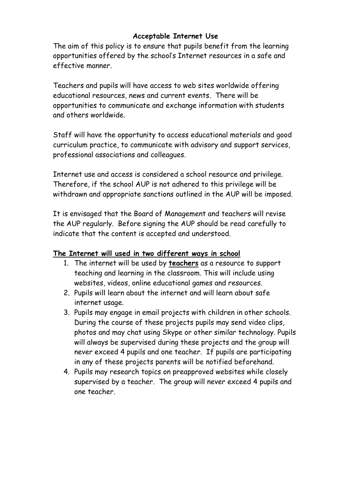### **Acceptable Internet Use**

The aim of this policy is to ensure that pupils benefit from the learning opportunities offered by the school's Internet resources in a safe and effective manner.

Teachers and pupils will have access to web sites worldwide offering educational resources, news and current events. There will be opportunities to communicate and exchange information with students and others worldwide.

Staff will have the opportunity to access educational materials and good curriculum practice, to communicate with advisory and support services, professional associations and colleagues.

Internet use and access is considered a school resource and privilege. Therefore, if the school AUP is not adhered to this privilege will be withdrawn and appropriate sanctions outlined in the AUP will be imposed.

It is envisaged that the Board of Management and teachers will revise the AUP regularly. Before signing the AUP should be read carefully to indicate that the content is accepted and understood.

### **The Internet will used in two different ways in school**

- 1. The internet will be used by **teachers** as a resource to support teaching and learning in the classroom. This will include using websites, videos, online educational games and resources.
- 2. Pupils will learn about the internet and will learn about safe internet usage.
- 3. Pupils may engage in email projects with children in other schools. During the course of these projects pupils may send video clips, photos and may chat using Skype or other similar technology. Pupils will always be supervised during these projects and the group will never exceed 4 pupils and one teacher. If pupils are participating in any of these projects parents will be notified beforehand.
- 4. Pupils may research topics on preapproved websites while closely supervised by a teacher. The group will never exceed 4 pupils and one teacher.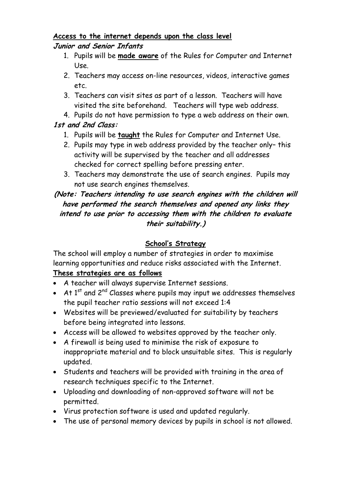### **Access to the internet depends upon the class level Junior and Senior Infants**

- 1. Pupils will be **made aware** of the Rules for Computer and Internet Use.
- 2. Teachers may access on-line resources, videos, interactive games etc.
- 3. Teachers can visit sites as part of a lesson. Teachers will have visited the site beforehand. Teachers will type web address.
- 4. Pupils do not have permission to type a web address on their own.

# **1st and 2nd Class:**

- 1. Pupils will be **taught** the Rules for Computer and Internet Use.
- 2. Pupils may type in web address provided by the teacher only– this activity will be supervised by the teacher and all addresses checked for correct spelling before pressing enter.
- 3. Teachers may demonstrate the use of search engines. Pupils may not use search engines themselves.

### **(Note: Teachers intending to use search engines with the children will have performed the search themselves and opened any links they intend to use prior to accessing them with the children to evaluate their suitability.)**

# **School's Strategy**

The school will employ a number of strategies in order to maximise learning opportunities and reduce risks associated with the Internet.

# **These strategies are as follows**

- A teacher will always supervise Internet sessions.
- $\bullet$  At 1<sup>st</sup> and 2<sup>nd</sup> Classes where pupils may input we addresses themselves the pupil teacher ratio sessions will not exceed 1:4
- Websites will be previewed/evaluated for suitability by teachers before being integrated into lessons.
- Access will be allowed to websites approved by the teacher only.
- A firewall is being used to minimise the risk of exposure to inappropriate material and to block unsuitable sites. This is regularly updated.
- Students and teachers will be provided with training in the area of research techniques specific to the Internet.
- Uploading and downloading of non-approved software will not be permitted.
- Virus protection software is used and updated regularly.
- The use of personal memory devices by pupils in school is not allowed.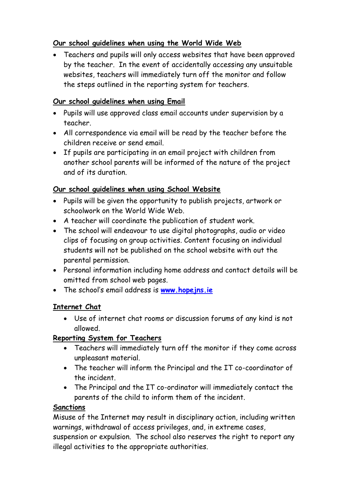## **Our school guidelines when using the World Wide Web**

 Teachers and pupils will only access websites that have been approved by the teacher. In the event of accidentally accessing any unsuitable websites, teachers will immediately turn off the monitor and follow the steps outlined in the reporting system for teachers.

### **Our school guidelines when using Email**

- Pupils will use approved class email accounts under supervision by a teacher.
- All correspondence via email will be read by the teacher before the children receive or send email.
- If pupils are participating in an email project with children from another school parents will be informed of the nature of the project and of its duration.

## **Our school guidelines when using School Website**

- Pupils will be given the opportunity to publish projects, artwork or schoolwork on the World Wide Web.
- A teacher will coordinate the publication of student work.
- The school will endeavour to use digital photographs, audio or video clips of focusing on group activities. Content focusing on individual students will not be published on the school website with out the parental permission.
- Personal information including home address and contact details will be omitted from school web pages.
- The school's email address is **[www.hopejns.ie](http://www.hopejns.ie/)**

### **Internet Chat**

 Use of internet chat rooms or discussion forums of any kind is not allowed.

# **Reporting System for Teachers**

- Teachers will immediately turn off the monitor if they come across unpleasant material.
- The teacher will inform the Principal and the IT co-coordinator of the incident.
- The Principal and the IT co-ordinator will immediately contact the parents of the child to inform them of the incident.

### **Sanctions**

Misuse of the Internet may result in disciplinary action, including written warnings, withdrawal of access privileges, and, in extreme cases, suspension or expulsion. The school also reserves the right to report any illegal activities to the appropriate authorities.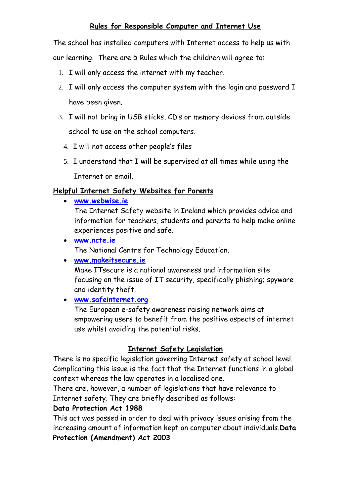### **Rules for Responsible Computer and Internet Use**

The school has installed computers with Internet access to help us with our learning. There are 5 Rules which the children will agree to:

- 1. I will only access the internet with my teacher.
- 2. I will only access the computer system with the login and password I have been given.
- 3. I will not bring in USB sticks, CD's or memory devices from outside school to use on the school computers.
	- 4. I will not access other people's files
	- 5. I understand that I will be supervised at all times while using the

Internet or email.

#### **Helpful Internet Safety Websites for Parents**

**[www.webwise.ie](http://www.webwise.ie/)**

The Internet Safety website in Ireland which provides advice and information for teachers, students and parents to help make online experiences positive and safe.

- **[www.ncte.ie](http://www.ncte.ie/)** The National Centre for Technology Education.
- **[www.makeitsecure.ie](http://www.makeitsecure.ie/)**

Make ITsecure is a national awareness and information site focusing on the issue of IT security, specifically phishing; spyware and identity theft.

### **[www.safeinternet.org](http://www.safeinternet.org/)**

The European e-safety awareness raising network aims at empowering users to benefit from the positive aspects of internet use whilst avoiding the potential risks.

### **Internet Safety Legislation**

There is no specific legislation governing Internet safety at school level. Complicating this issue is the fact that the Internet functions in a global context whereas the law operates in a localised one.

There are, however, a number of legislations that have relevance to Internet safety. They are briefly described as follows:

#### **[Data Protection Act 1988](http://www.acts.ie/zza25y1988.1.html)**

This act was passed in order to deal with privacy issues arising from the increasing amount of information kept on computer about individuals.**[Data](http://www.irlgov.ie/bills28/acts/2003/a603.pdf)  [Protection \(Amendment\) Act 2003](http://www.irlgov.ie/bills28/acts/2003/a603.pdf)**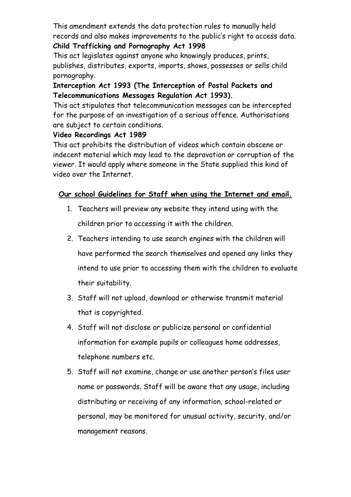This amendment extends the data protection rules to manually held records and also makes improvements to the public's right to access data. **[Child Trafficking and Pornography Act 1998](http://www.acts.ie/zza22y1998.1.html)**

This act legislates against anyone who knowingly produces, prints, publishes, distributes, exports, imports, shows, possesses or sells child pornography.

### **[Interception Act 1993](http://www.acts.ie/zza10y1993.1.html) (The Interception of Postal Packets and Telecommunications Messages Regulation Act 1993).**

This act stipulates that telecommunication messages can be intercepted for the purpose of an investigation of a serious offence. Authorisations are subject to certain conditions.

### **[Video Recordings Act 1989](http://www.acts.ie/zza22y1989.1.html)**

This act prohibits the distribution of videos which contain obscene or indecent material which may lead to the depravation or corruption of the viewer. It would apply where someone in the State supplied this kind of video over the Internet.

### **Our school Guidelines for Staff when using the Internet and email.**

- 1. Teachers will preview any website they intend using with the children prior to accessing it with the children.
- 2. Teachers intending to use search engines with the children will have performed the search themselves and opened any links they intend to use prior to accessing them with the children to evaluate their suitability.
- 3. Staff will not upload, download or otherwise transmit material that is copyrighted.
- 4. Staff will not disclose or publicize personal or confidential information for example pupils or colleagues home addresses, telephone numbers etc.
- 5. Staff will not examine, change or use another person's files user name or passwords. Staff will be aware that any usage, including distributing or receiving of any information, school-related or personal, may be monitored for unusual activity, security, and/or management reasons.